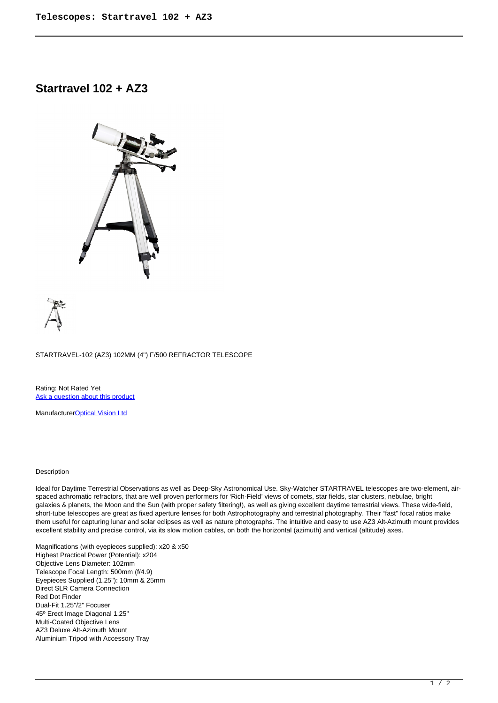## **Startravel 102 + AZ3**





STARTRAVEL-102 (AZ3) 102MM (4") F/500 REFRACTOR TELESCOPE

Rating: Not Rated Yet [Ask a question about this product](https://cameraplusni.co.uk/index.php?option=com_virtuemart&view=productdetails&task=askquestion&virtuemart_product_id=556&virtuemart_category_id=226&tmpl=component)

Manufacturer[Optical Vision Ltd](https://cameraplusni.co.uk/index.php?option=com_virtuemart&view=manufacturer&virtuemart_manufacturer_id=40&tmpl=component)

## Description

Ideal for Daytime Terrestrial Observations as well as Deep-Sky Astronomical Use. Sky-Watcher STARTRAVEL telescopes are two-element, airspaced achromatic refractors, that are well proven performers for 'Rich-Field' views of comets, star fields, star clusters, nebulae, bright galaxies & planets, the Moon and the Sun (with proper safety filtering!), as well as giving excellent daytime terrestrial views. These wide-field, short-tube telescopes are great as fixed aperture lenses for both Astrophotography and terrestrial photography. Their "fast" focal ratios make them useful for capturing lunar and solar eclipses as well as nature photographs. The intuitive and easy to use AZ3 Alt-Azimuth mount provides excellent stability and precise control, via its slow motion cables, on both the horizontal (azimuth) and vertical (altitude) axes.

Magnifications (with eyepieces supplied): x20 & x50 Highest Practical Power (Potential): x204 Objective Lens Diameter: 102mm Telescope Focal Length: 500mm (f/4.9) Eyepieces Supplied (1.25"): 10mm & 25mm Direct SLR Camera Connection Red Dot Finder Dual-Fit 1.25"/2" Focuser 45º Erect Image Diagonal 1.25" Multi-Coated Objective Lens AZ3 Deluxe Alt-Azimuth Mount Aluminium Tripod with Accessory Tray